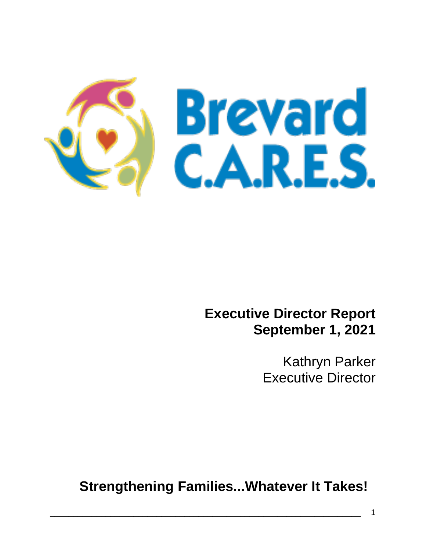

## **Executive Director Report September 1, 2021**

Kathryn Parker Executive Director

**Strengthening Families...Whatever It Takes!**